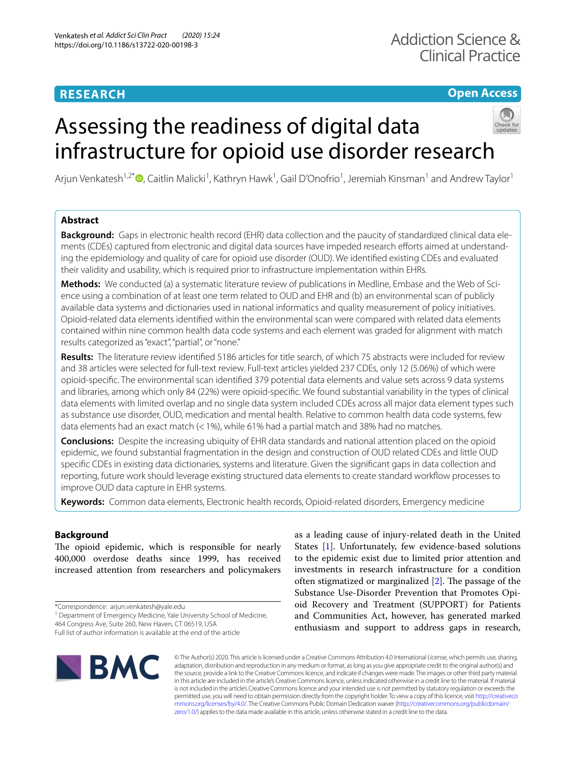# **RESEARCH**

# **Open Access**

# Assessing the readiness of digital data infrastructure for opioid use disorder research



Arjun Venkatesh<sup>1[,](http://orcid.org/0000-0002-8248-0567)2\*</sup>®, Caitlin Malicki<sup>1</sup>, Kathryn Hawk<sup>1</sup>, Gail D'Onofrio<sup>1</sup>, Jeremiah Kinsman<sup>1</sup> and Andrew Taylor<sup>1</sup>

# **Abstract**

**Background:** Gaps in electronic health record (EHR) data collection and the paucity of standardized clinical data elements (CDEs) captured from electronic and digital data sources have impeded research eforts aimed at understanding the epidemiology and quality of care for opioid use disorder (OUD). We identifed existing CDEs and evaluated their validity and usability, which is required prior to infrastructure implementation within EHRs.

**Methods:** We conducted (a) a systematic literature review of publications in Medline, Embase and the Web of Science using a combination of at least one term related to OUD and EHR and (b) an environmental scan of publicly available data systems and dictionaries used in national informatics and quality measurement of policy initiatives. Opioid-related data elements identifed within the environmental scan were compared with related data elements contained within nine common health data code systems and each element was graded for alignment with match results categorized as "exact", "partial", or "none."

**Results:** The literature review identifed 5186 articles for title search, of which 75 abstracts were included for review and 38 articles were selected for full-text review. Full-text articles yielded 237 CDEs, only 12 (5.06%) of which were opioid-specifc. The environmental scan identifed 379 potential data elements and value sets across 9 data systems and libraries, among which only 84 (22%) were opioid-specifc. We found substantial variability in the types of clinical data elements with limited overlap and no single data system included CDEs across all major data element types such as substance use disorder, OUD, medication and mental health. Relative to common health data code systems, few data elements had an exact match (<1%), while 61% had a partial match and 38% had no matches.

**Conclusions:** Despite the increasing ubiquity of EHR data standards and national attention placed on the opioid epidemic, we found substantial fragmentation in the design and construction of OUD related CDEs and little OUD specifc CDEs in existing data dictionaries, systems and literature. Given the signifcant gaps in data collection and reporting, future work should leverage existing structured data elements to create standard workfow processes to improve OUD data capture in EHR systems.

**Keywords:** Common data elements, Electronic health records, Opioid-related disorders, Emergency medicine

# **Background**

The opioid epidemic, which is responsible for nearly 400,000 overdose deaths since 1999, has received increased attention from researchers and policymakers

\*Correspondence: arjun.venkatesh@yale.edu

<sup>1</sup> Department of Emergency Medicine, Yale University School of Medicine, 464 Congress Ave, Suite 260, New Haven, CT 06519, USA

Full list of author information is available at the end of the article

as a leading cause of injury-related death in the United States [[1](#page-5-0)]. Unfortunately, few evidence-based solutions to the epidemic exist due to limited prior attention and investments in research infrastructure for a condition often stigmatized or marginalized  $[2]$  $[2]$ . The passage of the Substance Use-Disorder Prevention that Promotes Opioid Recovery and Treatment (SUPPORT) for Patients and Communities Act, however, has generated marked enthusiasm and support to address gaps in research,



© The Author(s) 2020. This article is licensed under a Creative Commons Attribution 4.0 International License, which permits use, sharing, adaptation, distribution and reproduction in any medium or format, as long as you give appropriate credit to the original author(s) and the source, provide a link to the Creative Commons licence, and indicate if changes were made. The images or other third party material in this article are included in the article's Creative Commons licence, unless indicated otherwise in a credit line to the material. If material is not included in the article's Creative Commons licence and your intended use is not permitted by statutory regulation or exceeds the permitted use, you will need to obtain permission directly from the copyright holder. To view a copy of this licence, visit [http://creativeco](http://creativecommons.org/licenses/by/4.0/) [mmons.org/licenses/by/4.0/.](http://creativecommons.org/licenses/by/4.0/) The Creative Commons Public Domain Dedication waiver ([http://creativecommons.org/publicdomain/](http://creativecommons.org/publicdomain/zero/1.0/) [zero/1.0/\)](http://creativecommons.org/publicdomain/zero/1.0/) applies to the data made available in this article, unless otherwise stated in a credit line to the data.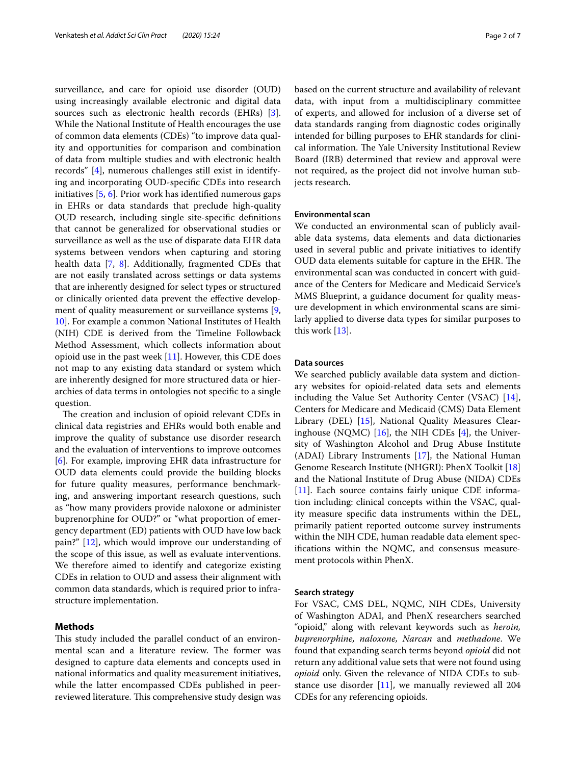surveillance, and care for opioid use disorder (OUD) using increasingly available electronic and digital data sources such as electronic health records (EHRs) [\[3](#page-5-2)]. While the National Institute of Health encourages the use of common data elements (CDEs) "to improve data quality and opportunities for comparison and combination of data from multiple studies and with electronic health records" [[4\]](#page-5-3), numerous challenges still exist in identifying and incorporating OUD-specifc CDEs into research initiatives [\[5](#page-5-4), [6\]](#page-5-5). Prior work has identifed numerous gaps in EHRs or data standards that preclude high-quality OUD research, including single site-specifc defnitions that cannot be generalized for observational studies or surveillance as well as the use of disparate data EHR data systems between vendors when capturing and storing health data [[7,](#page-5-6) [8](#page-5-7)]. Additionally, fragmented CDEs that are not easily translated across settings or data systems that are inherently designed for select types or structured or clinically oriented data prevent the efective develop-ment of quality measurement or surveillance systems [\[9](#page-5-8), [10\]](#page-5-9). For example a common National Institutes of Health (NIH) CDE is derived from the Timeline Followback Method Assessment, which collects information about opioid use in the past week [\[11](#page-5-10)]. However, this CDE does not map to any existing data standard or system which are inherently designed for more structured data or hierarchies of data terms in ontologies not specifc to a single question.

The creation and inclusion of opioid relevant CDEs in clinical data registries and EHRs would both enable and improve the quality of substance use disorder research and the evaluation of interventions to improve outcomes [[6\]](#page-5-5). For example, improving EHR data infrastructure for OUD data elements could provide the building blocks for future quality measures, performance benchmarking, and answering important research questions, such as "how many providers provide naloxone or administer buprenorphine for OUD?" or "what proportion of emergency department (ED) patients with OUD have low back pain?" [[12\]](#page-5-11), which would improve our understanding of the scope of this issue, as well as evaluate interventions. We therefore aimed to identify and categorize existing CDEs in relation to OUD and assess their alignment with common data standards, which is required prior to infrastructure implementation.

# **Methods**

This study included the parallel conduct of an environmental scan and a literature review. The former was designed to capture data elements and concepts used in national informatics and quality measurement initiatives, while the latter encompassed CDEs published in peerreviewed literature. This comprehensive study design was

based on the current structure and availability of relevant data, with input from a multidisciplinary committee of experts, and allowed for inclusion of a diverse set of data standards ranging from diagnostic codes originally intended for billing purposes to EHR standards for clinical information. The Yale University Institutional Review Board (IRB) determined that review and approval were not required, as the project did not involve human subjects research.

#### **Environmental scan**

We conducted an environmental scan of publicly available data systems, data elements and data dictionaries used in several public and private initiatives to identify OUD data elements suitable for capture in the EHR. The environmental scan was conducted in concert with guidance of the Centers for Medicare and Medicaid Service's MMS Blueprint, a guidance document for quality measure development in which environmental scans are similarly applied to diverse data types for similar purposes to this work [\[13](#page-5-12)].

# **Data sources**

We searched publicly available data system and dictionary websites for opioid-related data sets and elements including the Value Set Authority Center (VSAC) [\[14](#page-6-0)], Centers for Medicare and Medicaid (CMS) Data Element Library (DEL) [[15\]](#page-6-1), National Quality Measures Clearinghouse (NQMC)  $[16]$  $[16]$ , the NIH CDEs  $[4]$ , the University of Washington Alcohol and Drug Abuse Institute (ADAI) Library Instruments [[17](#page-6-3)], the National Human Genome Research Institute (NHGRI): PhenX Toolkit [[18](#page-6-4)] and the National Institute of Drug Abuse (NIDA) CDEs [[11\]](#page-5-10). Each source contains fairly unique CDE information including: clinical concepts within the VSAC, quality measure specifc data instruments within the DEL, primarily patient reported outcome survey instruments within the NIH CDE, human readable data element specifcations within the NQMC, and consensus measurement protocols within PhenX.

#### **Search strategy**

For VSAC, CMS DEL, NQMC, NIH CDEs, University of Washington ADAI, and PhenX researchers searched "opioid," along with relevant keywords such as *heroin, buprenorphine, naloxone, Narcan* and *methadone*. We found that expanding search terms beyond *opioid* did not return any additional value sets that were not found using *opioid* only. Given the relevance of NIDA CDEs to substance use disorder  $[11]$  $[11]$ , we manually reviewed all 204 CDEs for any referencing opioids.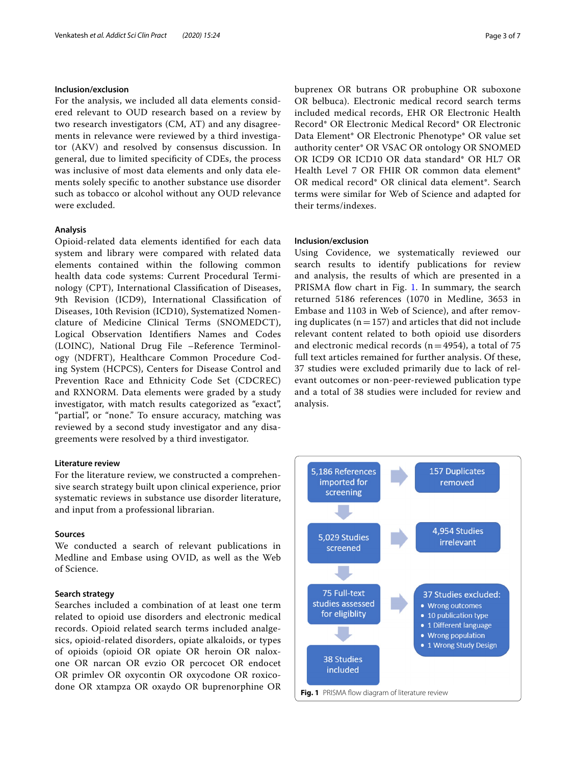# **Inclusion/exclusion**

For the analysis, we included all data elements considered relevant to OUD research based on a review by two research investigators (CM, AT) and any disagreements in relevance were reviewed by a third investigator (AKV) and resolved by consensus discussion. In general, due to limited specifcity of CDEs, the process was inclusive of most data elements and only data elements solely specifc to another substance use disorder such as tobacco or alcohol without any OUD relevance were excluded.

# **Analysis**

Opioid-related data elements identifed for each data system and library were compared with related data elements contained within the following common health data code systems: Current Procedural Terminology (CPT), International Classifcation of Diseases, 9th Revision (ICD9), International Classifcation of Diseases, 10th Revision (ICD10), Systematized Nomenclature of Medicine Clinical Terms (SNOMEDCT), Logical Observation Identifers Names and Codes (LOINC), National Drug File –Reference Terminology (NDFRT), Healthcare Common Procedure Coding System (HCPCS), Centers for Disease Control and Prevention Race and Ethnicity Code Set (CDCREC) and RXNORM. Data elements were graded by a study investigator, with match results categorized as "exact", "partial", or "none." To ensure accuracy, matching was reviewed by a second study investigator and any disagreements were resolved by a third investigator.

# **Literature review**

For the literature review, we constructed a comprehensive search strategy built upon clinical experience, prior systematic reviews in substance use disorder literature, and input from a professional librarian.

### **Sources**

We conducted a search of relevant publications in Medline and Embase using OVID, as well as the Web of Science.

# **Search strategy**

Searches included a combination of at least one term related to opioid use disorders and electronic medical records. Opioid related search terms included analgesics, opioid-related disorders, opiate alkaloids, or types of opioids (opioid OR opiate OR heroin OR naloxone OR narcan OR evzio OR percocet OR endocet OR primlev OR oxycontin OR oxycodone OR roxicodone OR xtampza OR oxaydo OR buprenorphine OR

buprenex OR butrans OR probuphine OR suboxone OR belbuca). Electronic medical record search terms included medical records, EHR OR Electronic Health Record\* OR Electronic Medical Record\* OR Electronic Data Element\* OR Electronic Phenotype\* OR value set authority center\* OR VSAC OR ontology OR SNOMED OR ICD9 OR ICD10 OR data standard\* OR HL7 OR Health Level 7 OR FHIR OR common data element\* OR medical record\* OR clinical data element\*. Search terms were similar for Web of Science and adapted for their terms/indexes.

# **Inclusion/exclusion**

Using Covidence, we systematically reviewed our search results to identify publications for review and analysis, the results of which are presented in a PRISMA flow chart in Fig. [1.](#page-2-0) In summary, the search returned 5186 references (1070 in Medline, 3653 in Embase and 1103 in Web of Science), and after removing duplicates ( $n=157$ ) and articles that did not include relevant content related to both opioid use disorders and electronic medical records ( $n=4954$ ), a total of 75 full text articles remained for further analysis. Of these, 37 studies were excluded primarily due to lack of relevant outcomes or non-peer-reviewed publication type and a total of 38 studies were included for review and analysis.

<span id="page-2-0"></span>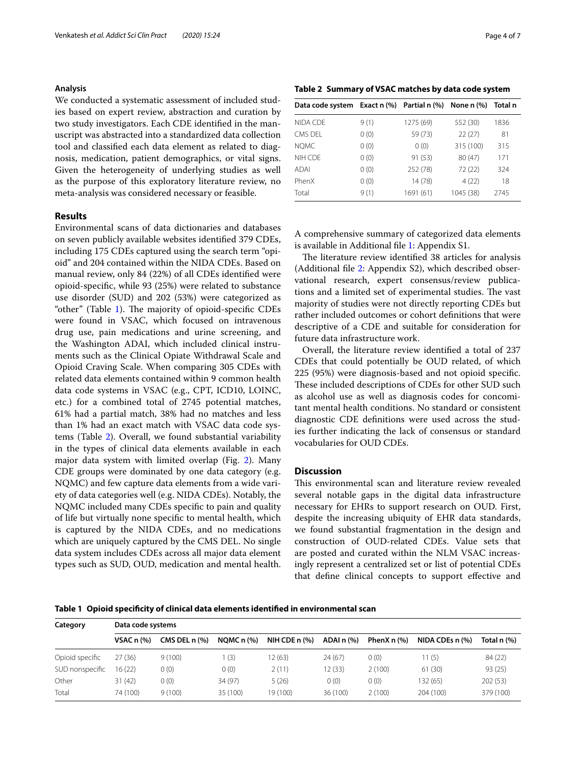### **Analysis**

We conducted a systematic assessment of included studies based on expert review, abstraction and curation by two study investigators. Each CDE identifed in the manuscript was abstracted into a standardized data collection tool and classifed each data element as related to diagnosis, medication, patient demographics, or vital signs. Given the heterogeneity of underlying studies as well as the purpose of this exploratory literature review, no meta-analysis was considered necessary or feasible.

# **Results**

Environmental scans of data dictionaries and databases on seven publicly available websites identifed 379 CDEs, including 175 CDEs captured using the search term "opioid" and 204 contained within the NIDA CDEs. Based on manual review, only 84 (22%) of all CDEs identifed were opioid-specifc, while 93 (25%) were related to substance use disorder (SUD) and 202 (53%) were categorized as "other" (Table  $1$ ). The majority of opioid-specific CDEs were found in VSAC, which focused on intravenous drug use, pain medications and urine screening, and the Washington ADAI, which included clinical instruments such as the Clinical Opiate Withdrawal Scale and Opioid Craving Scale. When comparing 305 CDEs with related data elements contained within 9 common health data code systems in VSAC (e.g., CPT, ICD10, LOINC, etc.) for a combined total of 2745 potential matches, 61% had a partial match, 38% had no matches and less than 1% had an exact match with VSAC data code systems (Table [2](#page-3-1)). Overall, we found substantial variability in the types of clinical data elements available in each major data system with limited overlap (Fig. [2](#page-4-0)). Many CDE groups were dominated by one data category (e.g. NQMC) and few capture data elements from a wide variety of data categories well (e.g. NIDA CDEs). Notably, the NQMC included many CDEs specifc to pain and quality of life but virtually none specifc to mental health, which is captured by the NIDA CDEs, and no medications which are uniquely captured by the CMS DEL. No single data system includes CDEs across all major data element types such as SUD, OUD, medication and mental health.

<span id="page-3-1"></span>**Table 2 Summary of VSAC matches by data code system**

| Data code system Exact n (%) Partial n (%) None n (%) |      |           |           | Total n |
|-------------------------------------------------------|------|-----------|-----------|---------|
| NIDA CDE                                              | 9(1) | 1275 (69) | 552 (30)  | 1836    |
| CMS DEL                                               | 0(0) | 59 (73)   | 22(27)    | 81      |
| <b>NQMC</b>                                           | 0(0) | 0(0)      | 315 (100) | 315     |
| NIH CDE                                               | 0(0) | 91 (53)   | 80 (47)   | 171     |
| <b>ADAI</b>                                           | 0(0) | 252 (78)  | 72 (22)   | 324     |
| PhenX                                                 | 0(0) | 14 (78)   | 4(22)     | 18      |
| Total                                                 | 9(1) | 1691 (61) | 1045 (38) | 2745    |

A comprehensive summary of categorized data elements is available in Additional fle [1:](#page-5-13) Appendix S1.

The literature review identified 38 articles for analysis (Additional fle [2](#page-5-14): Appendix S2), which described observational research, expert consensus/review publications and a limited set of experimental studies. The vast majority of studies were not directly reporting CDEs but rather included outcomes or cohort defnitions that were descriptive of a CDE and suitable for consideration for future data infrastructure work.

Overall, the literature review identifed a total of 237 CDEs that could potentially be OUD related, of which 225 (95%) were diagnosis-based and not opioid specifc. These included descriptions of CDEs for other SUD such as alcohol use as well as diagnosis codes for concomitant mental health conditions. No standard or consistent diagnostic CDE defnitions were used across the studies further indicating the lack of consensus or standard vocabularies for OUD CDEs.

# **Discussion**

This environmental scan and literature review revealed several notable gaps in the digital data infrastructure necessary for EHRs to support research on OUD. First, despite the increasing ubiquity of EHR data standards, we found substantial fragmentation in the design and construction of OUD-related CDEs. Value sets that are posted and curated within the NLM VSAC increasingly represent a centralized set or list of potential CDEs that defne clinical concepts to support efective and

<span id="page-3-0"></span>**Table 1 Opioid specifcity of clinical data elements identifed in environmental scan**

| Category        | Data code systems           |                    |              |               |            |                  |                                  |             |  |  |
|-----------------|-----------------------------|--------------------|--------------|---------------|------------|------------------|----------------------------------|-------------|--|--|
|                 | VSAC $n$ $\left(\% \right)$ | CMS DEL $n$ $(\%)$ | NOMC $n$ $%$ | NIH CDE n (%) | ADAI n (%) | Phen $X$ n $(%)$ | NIDA CDEs $n$ $\left(\% \right)$ | Total n (%) |  |  |
| Opioid specific | 27(36)                      | 9(100)             | (3)          | 12(63)        | 24(67)     | (0)              | 11(5)                            | 84 (22)     |  |  |
| SUD nonspecific | 16 (22)                     | 0(0)               | 0(0)         | 2(11)         | 12(33)     | 2(100)           | 61(30)                           | 93(25)      |  |  |
| Other           | 31(42)                      | 0(0)               | 34 (97)      | 5(26)         | 0(0)       | (0)              | 132 (65)                         | 202(53)     |  |  |
| Total           | 74 (100)                    | 9(100)             | 35 (100)     | 19 (100)      | 36 (100)   | 2(100)           | 204 (100)                        | 379 (100)   |  |  |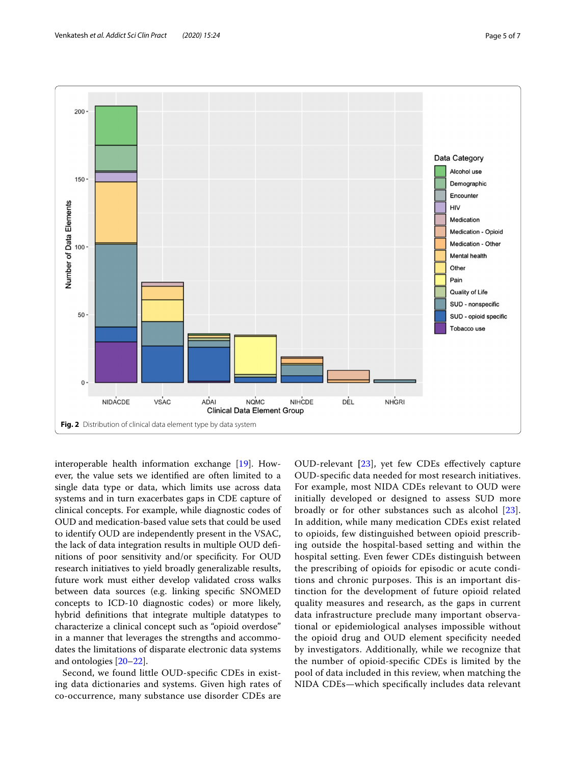

<span id="page-4-0"></span>interoperable health information exchange [[19\]](#page-6-5). However, the value sets we identifed are often limited to a single data type or data, which limits use across data systems and in turn exacerbates gaps in CDE capture of clinical concepts. For example, while diagnostic codes of OUD and medication-based value sets that could be used to identify OUD are independently present in the VSAC, the lack of data integration results in multiple OUD defnitions of poor sensitivity and/or specifcity. For OUD research initiatives to yield broadly generalizable results, future work must either develop validated cross walks between data sources (e.g. linking specifc SNOMED concepts to ICD-10 diagnostic codes) or more likely, hybrid defnitions that integrate multiple datatypes to characterize a clinical concept such as "opioid overdose" in a manner that leverages the strengths and accommodates the limitations of disparate electronic data systems and ontologies [\[20–](#page-6-6)[22\]](#page-6-7).

Second, we found little OUD-specifc CDEs in existing data dictionaries and systems. Given high rates of co-occurrence, many substance use disorder CDEs are

OUD-relevant **[**[23](#page-6-8)], yet few CDEs efectively capture OUD-specifc data needed for most research initiatives. For example, most NIDA CDEs relevant to OUD were initially developed or designed to assess SUD more broadly or for other substances such as alcohol [[23](#page-6-8)]. In addition, while many medication CDEs exist related to opioids, few distinguished between opioid prescribing outside the hospital-based setting and within the hospital setting. Even fewer CDEs distinguish between the prescribing of opioids for episodic or acute conditions and chronic purposes. This is an important distinction for the development of future opioid related quality measures and research, as the gaps in current data infrastructure preclude many important observational or epidemiological analyses impossible without the opioid drug and OUD element specifcity needed by investigators. Additionally, while we recognize that the number of opioid-specifc CDEs is limited by the pool of data included in this review, when matching the NIDA CDEs—which specifcally includes data relevant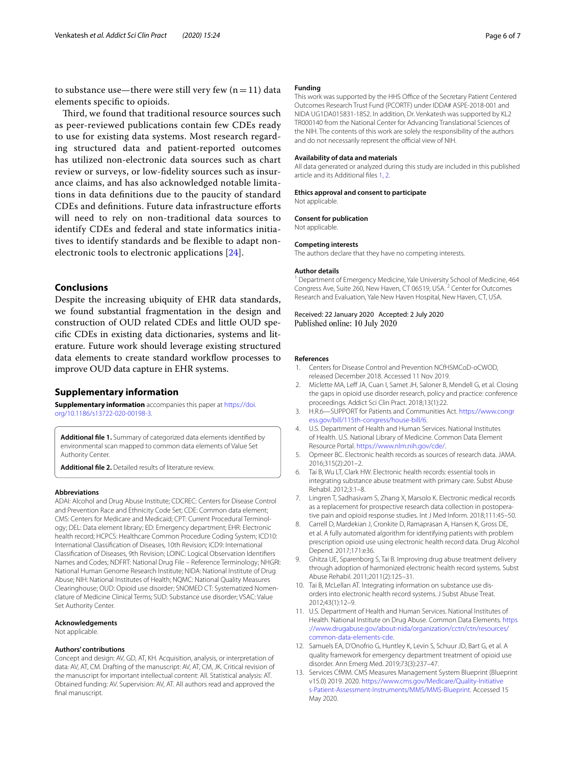to substance use—there were still very few  $(n=11)$  data elements specifc to opioids.

Third, we found that traditional resource sources such as peer-reviewed publications contain few CDEs ready to use for existing data systems. Most research regarding structured data and patient-reported outcomes has utilized non-electronic data sources such as chart review or surveys, or low-fdelity sources such as insurance claims, and has also acknowledged notable limitations in data defnitions due to the paucity of standard CDEs and defnitions. Future data infrastructure eforts will need to rely on non-traditional data sources to identify CDEs and federal and state informatics initiatives to identify standards and be fexible to adapt nonelectronic tools to electronic applications [\[24\]](#page-6-9).

# **Conclusions**

Despite the increasing ubiquity of EHR data standards, we found substantial fragmentation in the design and construction of OUD related CDEs and little OUD specifc CDEs in existing data dictionaries, systems and literature. Future work should leverage existing structured data elements to create standard workflow processes to improve OUD data capture in EHR systems.

#### **Supplementary information**

**Supplementary information** accompanies this paper at [https://doi.](https://doi.org/10.1186/s13722-020-00198-3) [org/10.1186/s13722-020-00198-3](https://doi.org/10.1186/s13722-020-00198-3).

<span id="page-5-13"></span>**Additional fle 1.** Summary of categorized data elements identifed by environmental scan mapped to common data elements of Value Set Authority Center.

<span id="page-5-14"></span>**Additional fle 2.** Detailed results of literature review.

#### **Abbreviations**

ADAI: Alcohol and Drug Abuse Institute; CDCREC: Centers for Disease Control and Prevention Race and Ethnicity Code Set; CDE: Common data element; CMS: Centers for Medicare and Medicaid; CPT: Current Procedural Terminology; DEL: Data element library; ED: Emergency department; EHR: Electronic health record; HCPCS: Healthcare Common Procedure Coding System; ICD10: International Classifcation of Diseases, 10th Revision; ICD9: International Classifcation of Diseases, 9th Revision; LOINC: Logical Observation Identifers Names and Codes; NDFRT: National Drug File – Reference Terminology; NHGRI: National Human Genome Research Institute; NIDA: National Institute of Drug Abuse; NIH: National Institutes of Health; NQMC: National Quality Measures Clearinghouse; OUD: Opioid use disorder; SNOMED CT: Systematized Nomenclature of Medicine Clinical Terms; SUD: Substance use disorder; VSAC: Value Set Authority Center.

### **Acknowledgements**

Not applicable.

#### **Authors' contributions**

Concept and design: AV, GD, AT, KH. Acquisition, analysis, or interpretation of data: AV, AT, CM. Drafting of the manuscript: AV, AT, CM, JK. Critical revision of the manuscript for important intellectual content: All. Statistical analysis: AT. Obtained funding: AV. Supervision: AV, AT. All authors read and approved the final manuscript.

# **Funding**

This work was supported by the HHS Office of the Secretary Patient Centered Outcomes Research Trust Fund (PCORTF) under IDDA# ASPE-2018-001 and NIDA UG1DA015831-18S2. In addition, Dr. Venkatesh was supported by KL2 TR000140 from the National Center for Advancing Translational Sciences of the NIH. The contents of this work are solely the responsibility of the authors and do not necessarily represent the official view of NIH.

#### **Availability of data and materials**

All data generated or analyzed during this study are included in this published article and its Additional fles [1,](#page-5-13) [2](#page-5-14).

#### **Ethics approval and consent to participate** Not applicable.

# **Consent for publication**

Not applicable.

#### **Competing interests**

The authors declare that they have no competing interests.

#### **Author details**

<sup>1</sup> Department of Emergency Medicine, Yale University School of Medicine, 464 Congress Ave, Suite 260, New Haven, CT 06519, USA. <sup>2</sup> Center for Outcomes Research and Evaluation, Yale New Haven Hospital, New Haven, CT, USA.

Received: 22 January 2020 Accepted: 2 July 2020 Published online: 10 July 2020

#### **References**

- <span id="page-5-0"></span>1. Centers for Disease Control and Prevention NCfHSMCoD-oCWOD, released December 2018. Accessed 11 Nov 2019.
- <span id="page-5-1"></span>2. Miclette MA, Leff JA, Cuan I, Samet JH, Saloner B, Mendell G, et al. Closing the gaps in opioid use disorder research, policy and practice: conference proceedings. Addict Sci Clin Pract. 2018;13(1):22.
- <span id="page-5-2"></span>3. H.R.6—SUPPORT for Patients and Communities Act. [https://www.congr](https://www.congress.gov/bill/115th-congress/house-bill/6) [ess.gov/bill/115th-congress/house-bill/6.](https://www.congress.gov/bill/115th-congress/house-bill/6)
- <span id="page-5-3"></span>4. U.S. Department of Health and Human Services. National Institutes of Health. U.S. National Library of Medicine. Common Data Element Resource Portal. <https://www.nlm.nih.gov/cde/>.
- <span id="page-5-4"></span>5. Opmeer BC. Electronic health records as sources of research data. JAMA. 2016;315(2):201–2.
- <span id="page-5-5"></span>6. Tai B, Wu LT, Clark HW. Electronic health records: essential tools in integrating substance abuse treatment with primary care. Subst Abuse Rehabil. 2012;3:1–8.
- <span id="page-5-6"></span>7. Lingren T, Sadhasivam S, Zhang X, Marsolo K. Electronic medical records as a replacement for prospective research data collection in postoperative pain and opioid response studies. Int J Med Inform. 2018;111:45–50.
- <span id="page-5-7"></span>Carrell D, Mardekian J, Cronkite D, Ramaprasan A, Hansen K, Gross DE, et al. A fully automated algorithm for identifying patients with problem prescription opioid use using electronic health record data. Drug Alcohol Depend. 2017;171:e36.
- <span id="page-5-8"></span>9. Ghitza UE, Sparenborg S, Tai B. Improving drug abuse treatment delivery through adoption of harmonized electronic health record systems. Subst Abuse Rehabil. 2011;2011(2):125–31.
- <span id="page-5-9"></span>10. Tai B, McLellan AT. Integrating information on substance use disorders into electronic health record systems. J Subst Abuse Treat. 2012;43(1):12–9.
- <span id="page-5-10"></span>11. U.S. Department of Health and Human Services. National Institutes of Health. National Institute on Drug Abuse. Common Data Elements. [https](https://www.drugabuse.gov/about-nida/organization/cctn/ctn/resources/common-data-elements-cde) [://www.drugabuse.gov/about-nida/organization/cctn/ctn/resources/](https://www.drugabuse.gov/about-nida/organization/cctn/ctn/resources/common-data-elements-cde) [common-data-elements-cde](https://www.drugabuse.gov/about-nida/organization/cctn/ctn/resources/common-data-elements-cde).
- <span id="page-5-11"></span>12. Samuels EA, D'Onofrio G, Huntley K, Levin S, Schuur JD, Bart G, et al. A quality framework for emergency department treatment of opioid use disorder. Ann Emerg Med. 2019;73(3):237–47.
- <span id="page-5-12"></span>13. Services CfMM. CMS Measures Management System Blueprint (Blueprint v15.0) 2019. 2020. [https://www.cms.gov/Medicare/Quality-Initiative](https://www.cms.gov/Medicare/Quality-Initiatives-Patient-Assessment-Instruments/MMS/MMS-Blueprint) [s-Patient-Assessment-Instruments/MMS/MMS-Blueprint](https://www.cms.gov/Medicare/Quality-Initiatives-Patient-Assessment-Instruments/MMS/MMS-Blueprint). Accessed 15 May 2020.